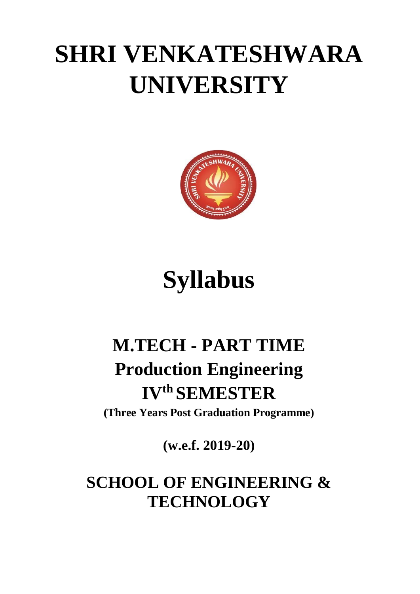# **SHRI VENKATESHWARA UNIVERSITY**



# **Syllabus**

## **M.TECH - PART TIME Production Engineering IV th SEMESTER**

**(Three Years Post Graduation Programme)**

**(w.e.f. 2019-20)**

## **SCHOOL OF ENGINEERING & TECHNOLOGY**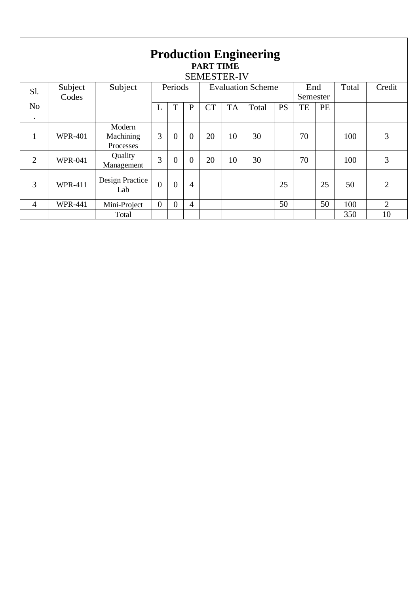| <b>Production Engineering</b><br><b>PART TIME</b><br><b>SEMESTER-IV</b> |                |                                  |                |                |              |                          |           |       |           |          |       |        |                |
|-------------------------------------------------------------------------|----------------|----------------------------------|----------------|----------------|--------------|--------------------------|-----------|-------|-----------|----------|-------|--------|----------------|
| Subject<br>Subject<br>S1.                                               |                |                                  | Periods        |                |              | <b>Evaluation Scheme</b> |           |       | End       |          | Total | Credit |                |
|                                                                         | Codes          |                                  |                |                |              |                          |           |       |           | Semester |       |        |                |
| N <sub>o</sub>                                                          |                |                                  | L              | T              | $\mathbf{P}$ | <b>CT</b>                | <b>TA</b> | Total | <b>PS</b> | TE       | PE    |        |                |
| $\bullet$                                                               |                |                                  |                |                |              |                          |           |       |           |          |       |        |                |
|                                                                         | <b>WPR-401</b> | Modern<br>Machining<br>Processes | 3              | $\overline{0}$ | $\theta$     | 20                       | 10        | 30    |           | 70       |       | 100    | 3              |
| $\overline{2}$                                                          | <b>WPR-041</b> | Quality<br>Management            | 3              | $\overline{0}$ | $\theta$     | 20                       | 10        | 30    |           | 70       |       | 100    | 3              |
| 3                                                                       | <b>WPR-411</b> | Design Practice<br>Lab           | $\overline{0}$ | $\overline{0}$ | 4            |                          |           |       | 25        |          | 25    | 50     | $\overline{2}$ |
| $\overline{4}$                                                          | <b>WPR-441</b> | Mini-Project                     | $\overline{0}$ | $\Omega$       | 4            |                          |           |       | 50        |          | 50    | 100    | $\overline{2}$ |
|                                                                         |                | Total                            |                |                |              |                          |           |       |           |          |       | 350    | 10             |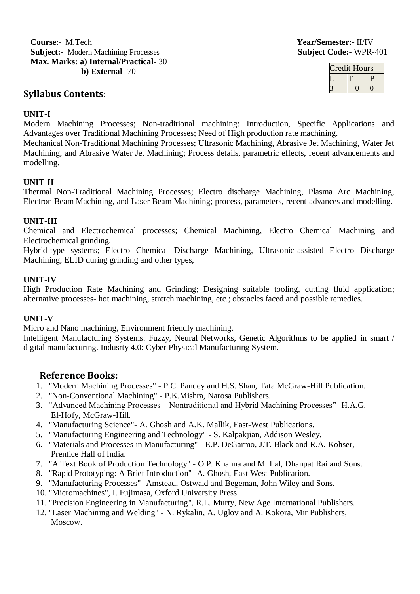**Course**:- M.Tech **Year/Semester:-** II/IV **Subject:-** Modern Machining Processes **Subject Code:-** WPR-401 **Max. Marks: a) Internal/Practical-** 30 **b) External-** 70

#### **Syllabus Contents**:

| Credit Hours |  |  |  |  |  |
|--------------|--|--|--|--|--|
|              |  |  |  |  |  |
|              |  |  |  |  |  |

#### **UNIT-I**

Modern Machining Processes; Non-traditional machining: Introduction, Specific Applications and Advantages over Traditional Machining Processes; Need of High production rate machining.

Mechanical Non-Traditional Machining Processes; Ultrasonic Machining, Abrasive Jet Machining, Water Jet Machining, and Abrasive Water Jet Machining; Process details, parametric effects, recent advancements and modelling.

#### **UNIT-II**

Thermal Non-Traditional Machining Processes; Electro discharge Machining, Plasma Arc Machining, Electron Beam Machining, and Laser Beam Machining; process, parameters, recent advances and modelling.

#### **UNIT-III**

Chemical and Electrochemical processes; Chemical Machining, Electro Chemical Machining and Electrochemical grinding.

Hybrid-type systems; Electro Chemical Discharge Machining, Ultrasonic-assisted Electro Discharge Machining, ELID during grinding and other types,

#### **UNIT-IV**

High Production Rate Machining and Grinding; Designing suitable tooling, cutting fluid application; alternative processes- hot machining, stretch machining, etc.; obstacles faced and possible remedies.

#### **UNIT-V**

Micro and Nano machining, Environment friendly machining.

Intelligent Manufacturing Systems: Fuzzy, Neural Networks, Genetic Algorithms to be applied in smart / digital manufacturing. Indusrty 4.0: Cyber Physical Manufacturing System.

#### **Reference Books:**

- 1. "Modern Machining Processes" P.C. Pandey and H.S. Shan, Tata McGraw-Hill Publication.
- 2. "Non-Conventional Machining" P.K.Mishra, Narosa Publishers.
- 3. "Advanced Machining Processes Nontraditional and Hybrid Machining Processes"- H.A.G. El-Hofy, McGraw-Hill.
- 4. "Manufacturing Science"- A. Ghosh and A.K. Mallik, East-West Publications.
- 5. "Manufacturing Engineering and Technology" S. Kalpakjian, Addison Wesley.
- 6. "Materials and Processes in Manufacturing" E.P. DeGarmo, J.T. Black and R.A. Kohser, Prentice Hall of India.
- 7. "A Text Book of Production Technology" O.P. Khanna and M. Lal, Dhanpat Rai and Sons.
- 8. "Rapid Prototyping: A Brief Introduction"- A. Ghosh, East West Publication.
- 9. "Manufacturing Processes"- Amstead, Ostwald and Begeman, John Wiley and Sons.
- 10. "Micromachines", I. Fujimasa, Oxford University Press.
- 11. "Precision Engineering in Manufacturing", R.L. Murty, New Age International Publishers.
- 12. "Laser Machining and Welding" N. Rykalin, A. Uglov and A. Kokora, Mir Publishers, Moscow.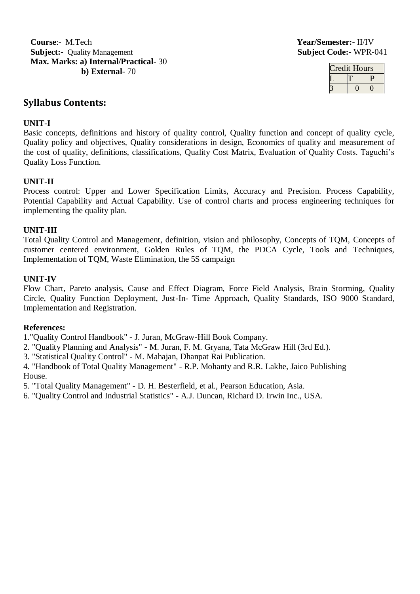**Course**:- M.Tech **Year/Semester:-** II/IV **Subject:-** Quality Management **Subject Code:-** WPR-041 **Max. Marks: a) Internal/Practical-** 30 **b) External-** 70

| Credit Hours |  |  |  |  |
|--------------|--|--|--|--|
|              |  |  |  |  |
|              |  |  |  |  |

### **Syllabus Contents:**

#### **UNIT-I**

Basic concepts, definitions and history of quality control, Quality function and concept of quality cycle, Quality policy and objectives, Quality considerations in design, Economics of quality and measurement of the cost of quality, definitions, classifications, Quality Cost Matrix, Evaluation of Quality Costs. Taguchi's Quality Loss Function.

#### **UNIT-II**

Process control: Upper and Lower Specification Limits, Accuracy and Precision. Process Capability, Potential Capability and Actual Capability. Use of control charts and process engineering techniques for implementing the quality plan.

#### **UNIT-III**

Total Quality Control and Management, definition, vision and philosophy, Concepts of TQM, Concepts of customer centered environment, Golden Rules of TQM, the PDCA Cycle, Tools and Techniques, Implementation of TQM, Waste Elimination, the 5S campaign

#### **UNIT-IV**

Flow Chart, Pareto analysis, Cause and Effect Diagram, Force Field Analysis, Brain Storming, Quality Circle, Quality Function Deployment, Just-In- Time Approach, Quality Standards, ISO 9000 Standard, Implementation and Registration.

#### **References:**

1."Quality Control Handbook" - J. Juran, McGraw-Hill Book Company.

- 2. "Quality Planning and Analysis" M. Juran, F. M. Gryana, Tata McGraw Hill (3rd Ed.).
- 3. "Statistical Quality Control" M. Mahajan, Dhanpat Rai Publication.

4. "Handbook of Total Quality Management" - R.P. Mohanty and R.R. Lakhe, Jaico Publishing House.

5. "Total Quality Management" - D. H. Besterfield, et al., Pearson Education, Asia.

6. "Quality Control and Industrial Statistics" - A.J. Duncan, Richard D. Irwin Inc., USA.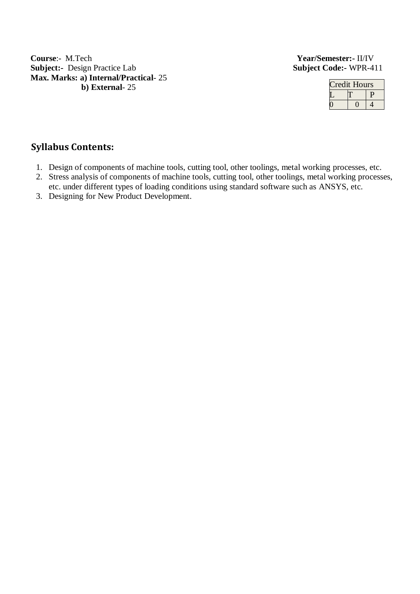**Course**:- M.Tech **Year/Semester:-** II/IV **Subject:-** Design Practice Lab **Subject** Code:- WPR-411 **Max. Marks: a) Internal/Practical**- 25 **b) External**- 25

| redit Hours |  |  |  |  |  |
|-------------|--|--|--|--|--|
|             |  |  |  |  |  |
|             |  |  |  |  |  |

## **Syllabus Contents:**

- 1. Design of components of machine tools, cutting tool, other toolings, metal working processes, etc.
- 2. Stress analysis of components of machine tools, cutting tool, other toolings, metal working processes, etc. under different types of loading conditions using standard software such as ANSYS, etc.
- 3. Designing for New Product Development.